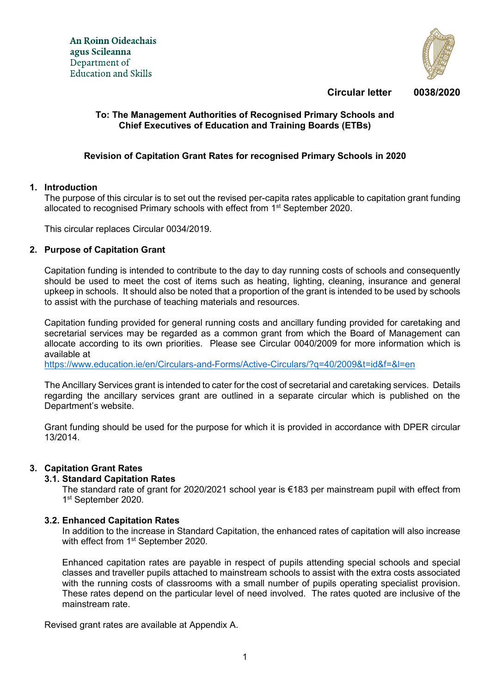

**Circular letter 0038/2020**

## **To: The Management Authorities of Recognised Primary Schools and Chief Executives of Education and Training Boards (ETBs)**

## **Revision of Capitation Grant Rates for recognised Primary Schools in 2020**

#### **1. Introduction**

The purpose of this circular is to set out the revised per-capita rates applicable to capitation grant funding allocated to recognised Primary schools with effect from 1<sup>st</sup> September 2020.

This circular replaces Circular 0034/2019.

#### **2. Purpose of Capitation Grant**

Capitation funding is intended to contribute to the day to day running costs of schools and consequently should be used to meet the cost of items such as heating, lighting, cleaning, insurance and general upkeep in schools. It should also be noted that a proportion of the grant is intended to be used by schools to assist with the purchase of teaching materials and resources.

Capitation funding provided for general running costs and ancillary funding provided for caretaking and secretarial services may be regarded as a common grant from which the Board of Management can allocate according to its own priorities. Please see Circular 0040/2009 for more information which is available at

<https://www.education.ie/en/Circulars-and-Forms/Active-Circulars/?q=40/2009&t=id&f=&l=en>

The Ancillary Services grant is intended to cater for the cost of secretarial and caretaking services. Details regarding the ancillary services grant are outlined in a separate circular which is published on the Department's website.

Grant funding should be used for the purpose for which it is provided in accordance with DPER circular 13/2014.

#### **3. Capitation Grant Rates**

#### **3.1. Standard Capitation Rates**

The standard rate of grant for 2020/2021 school year is €183 per mainstream pupil with effect from 1<sup>st</sup> September 2020.

#### **3.2. Enhanced Capitation Rates**

In addition to the increase in Standard Capitation, the enhanced rates of capitation will also increase with effect from 1<sup>st</sup> September 2020.

Enhanced capitation rates are payable in respect of pupils attending special schools and special classes and traveller pupils attached to mainstream schools to assist with the extra costs associated with the running costs of classrooms with a small number of pupils operating specialist provision. These rates depend on the particular level of need involved. The rates quoted are inclusive of the mainstream rate.

Revised grant rates are available at Appendix A.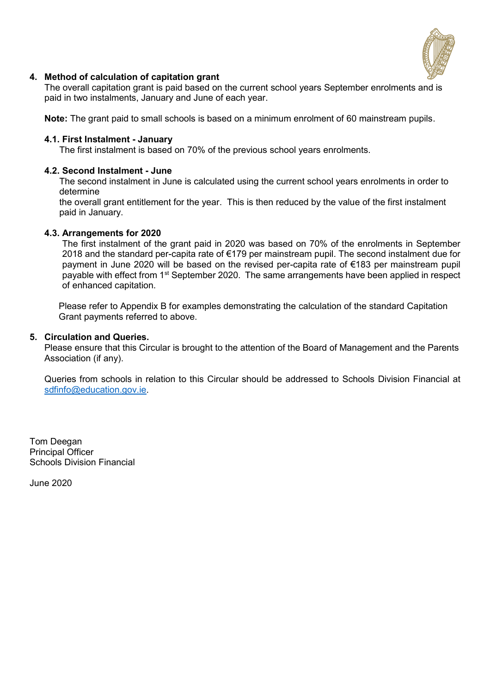

## **4. Method of calculation of capitation grant**

The overall capitation grant is paid based on the current school years September enrolments and is paid in two instalments, January and June of each year.

**Note:** The grant paid to small schools is based on a minimum enrolment of 60 mainstream pupils.

#### **4.1. First Instalment - January**

The first instalment is based on 70% of the previous school years enrolments.

#### **4.2. Second Instalment - June**

The second instalment in June is calculated using the current school years enrolments in order to determine

the overall grant entitlement for the year. This is then reduced by the value of the first instalment paid in January.

#### **4.3. Arrangements for 2020**

The first instalment of the grant paid in 2020 was based on 70% of the enrolments in September 2018 and the standard per-capita rate of €179 per mainstream pupil. The second instalment due for payment in June 2020 will be based on the revised per-capita rate of €183 per mainstream pupil payable with effect from 1<sup>st</sup> September 2020. The same arrangements have been applied in respect of enhanced capitation.

Please refer to Appendix B for examples demonstrating the calculation of the standard Capitation Grant payments referred to above.

#### **5. Circulation and Queries.**

Please ensure that this Circular is brought to the attention of the Board of Management and the Parents Association (if any).

Queries from schools in relation to this Circular should be addressed to Schools Division Financial at [sdfinfo@education.gov.ie.](mailto:sdfinfo@education.gov.ie)

Tom Deegan Principal Officer Schools Division Financial

June 2020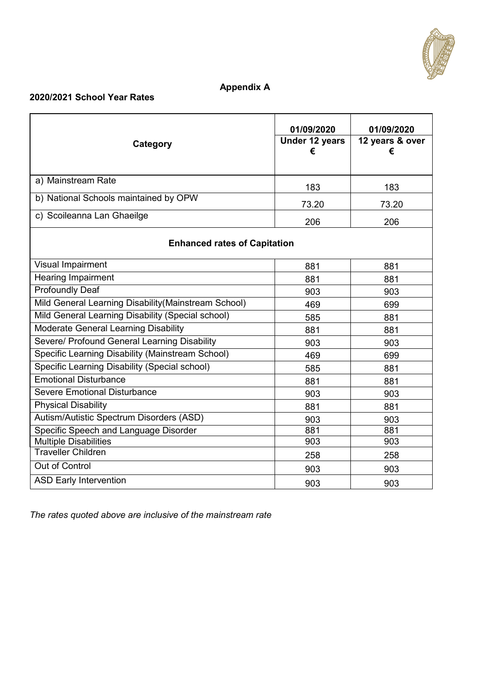

# **Appendix A**

# **2020/2021 School Year Rates**

| Category                                             | 01/09/2020<br>Under 12 years<br>€ | 01/09/2020<br>12 years & over<br>€ |  |  |
|------------------------------------------------------|-----------------------------------|------------------------------------|--|--|
| a) Mainstream Rate                                   | 183                               | 183                                |  |  |
| b) National Schools maintained by OPW                | 73.20                             | 73.20                              |  |  |
| c) Scoileanna Lan Ghaeilge                           | 206                               | 206                                |  |  |
| <b>Enhanced rates of Capitation</b>                  |                                   |                                    |  |  |
| <b>Visual Impairment</b>                             | 881                               | 881                                |  |  |
| Hearing Impairment                                   | 881                               | 881                                |  |  |
| <b>Profoundly Deaf</b>                               | 903                               | 903                                |  |  |
| Mild General Learning Disability (Mainstream School) | 469                               | 699                                |  |  |
| Mild General Learning Disability (Special school)    | 585                               | 881                                |  |  |
| <b>Moderate General Learning Disability</b>          | 881                               | 881                                |  |  |
| Severe/ Profound General Learning Disability         | 903                               | 903                                |  |  |
| Specific Learning Disability (Mainstream School)     | 469                               | 699                                |  |  |
| Specific Learning Disability (Special school)        | 585                               | 881                                |  |  |
| <b>Emotional Disturbance</b>                         | 881                               | 881                                |  |  |
| Severe Emotional Disturbance                         | 903                               | 903                                |  |  |
| <b>Physical Disability</b>                           | 881                               | 881                                |  |  |
| Autism/Autistic Spectrum Disorders (ASD)             | 903                               | 903                                |  |  |
| Specific Speech and Language Disorder                | 881                               | 881                                |  |  |
| <b>Multiple Disabilities</b>                         | 903                               | 903                                |  |  |
| <b>Traveller Children</b>                            | 258                               | 258                                |  |  |
| Out of Control                                       | 903                               | 903                                |  |  |
| <b>ASD Early Intervention</b>                        | 903                               | 903                                |  |  |

*The rates quoted above are inclusive of the mainstream rate*